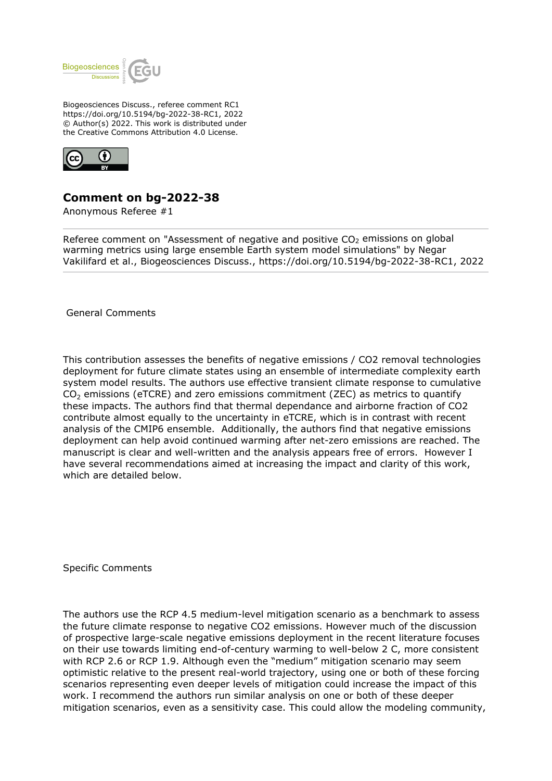

Biogeosciences Discuss., referee comment RC1 https://doi.org/10.5194/bg-2022-38-RC1, 2022 © Author(s) 2022. This work is distributed under the Creative Commons Attribution 4.0 License.



## **Comment on bg-2022-38**

Anonymous Referee #1

Referee comment on "Assessment of negative and positive  $CO<sub>2</sub>$  emissions on global warming metrics using large ensemble Earth system model simulations" by Negar Vakilifard et al., Biogeosciences Discuss., https://doi.org/10.5194/bg-2022-38-RC1, 2022

General Comments

This contribution assesses the benefits of negative emissions / CO2 removal technologies deployment for future climate states using an ensemble of intermediate complexity earth system model results. The authors use effective transient climate response to cumulative  $CO<sub>2</sub>$  emissions (eTCRE) and zero emissions commitment (ZEC) as metrics to quantify these impacts. The authors find that thermal dependance and airborne fraction of CO2 contribute almost equally to the uncertainty in eTCRE, which is in contrast with recent analysis of the CMIP6 ensemble. Additionally, the authors find that negative emissions deployment can help avoid continued warming after net-zero emissions are reached. The manuscript is clear and well-written and the analysis appears free of errors. However I have several recommendations aimed at increasing the impact and clarity of this work, which are detailed below.

Specific Comments

The authors use the RCP 4.5 medium-level mitigation scenario as a benchmark to assess the future climate response to negative CO2 emissions. However much of the discussion of prospective large-scale negative emissions deployment in the recent literature focuses on their use towards limiting end-of-century warming to well-below 2 C, more consistent with RCP 2.6 or RCP 1.9. Although even the "medium" mitigation scenario may seem optimistic relative to the present real-world trajectory, using one or both of these forcing scenarios representing even deeper levels of mitigation could increase the impact of this work. I recommend the authors run similar analysis on one or both of these deeper mitigation scenarios, even as a sensitivity case. This could allow the modeling community,